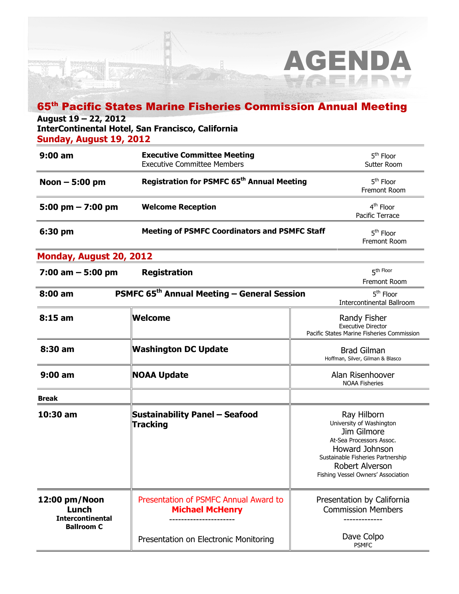## 65th Pacific States Marine Fisheries Commission Annual Meeting

AGENDA

### August 19 – 22, 2012

InterContinental Hotel, San Francisco, California

Sunday, August 19, 2012

| $9:00$ am                                                              | <b>Executive Committee Meeting</b><br><b>Executive Committee Members</b> | 5 <sup>th</sup> Floor<br>Sutter Room                                                                                                                                                               |
|------------------------------------------------------------------------|--------------------------------------------------------------------------|----------------------------------------------------------------------------------------------------------------------------------------------------------------------------------------------------|
| Noon $-5:00$ pm                                                        | Registration for PSMFC 65 <sup>th</sup> Annual Meeting                   | 5 <sup>th</sup> Floor<br>Fremont Room                                                                                                                                                              |
| 5:00 pm $- 7:00$ pm                                                    | <b>Welcome Reception</b>                                                 | 4 <sup>th</sup> Floor<br>Pacific Terrace                                                                                                                                                           |
| 6:30 pm                                                                | <b>Meeting of PSMFC Coordinators and PSMFC Staff</b>                     | 5 <sup>th</sup> Floor<br>Fremont Room                                                                                                                                                              |
| Monday, August 20, 2012                                                |                                                                          |                                                                                                                                                                                                    |
| $7:00$ am $-5:00$ pm                                                   | <b>Registration</b>                                                      | 5 <sup>th Floor</sup><br>Fremont Room                                                                                                                                                              |
| 8:00 am                                                                | PSMFC 65 <sup>th</sup> Annual Meeting - General Session                  | 5 <sup>th</sup> Floor<br>Intercontinental Ballroom                                                                                                                                                 |
| $8:15$ am                                                              | ∣Welcome                                                                 | Randy Fisher<br><b>Executive Director</b><br>Pacific States Marine Fisheries Commission                                                                                                            |
| 8:30 am                                                                | Washington DC Update                                                     | <b>Brad Gilman</b><br>Hoffman, Silver, Gilman & Blasco                                                                                                                                             |
| $9:00$ am                                                              | NOAA Update                                                              | Alan Risenhoover<br><b>NOAA Fisheries</b>                                                                                                                                                          |
| <b>Break</b>                                                           |                                                                          |                                                                                                                                                                                                    |
| 10:30 am                                                               | <b>Sustainability Panel - Seafood</b><br><b>Tracking</b>                 | Ray Hilborn<br>University of Washington<br>Jim Gilmore<br>At-Sea Processors Assoc.<br>Howard Johnson<br>Sustainable Fisheries Partnership<br>Robert Alverson<br>Fishing Vessel Owners' Association |
| 12:00 pm/Noon<br>Lunch<br><b>Intercontinental</b><br><b>Ballroom C</b> | Presentation of PSMFC Annual Award to<br><b>Michael McHenry</b>          | Presentation by California<br><b>Commission Members</b>                                                                                                                                            |
|                                                                        | Presentation on Electronic Monitoring                                    | Dave Colpo<br><b>PSMFC</b>                                                                                                                                                                         |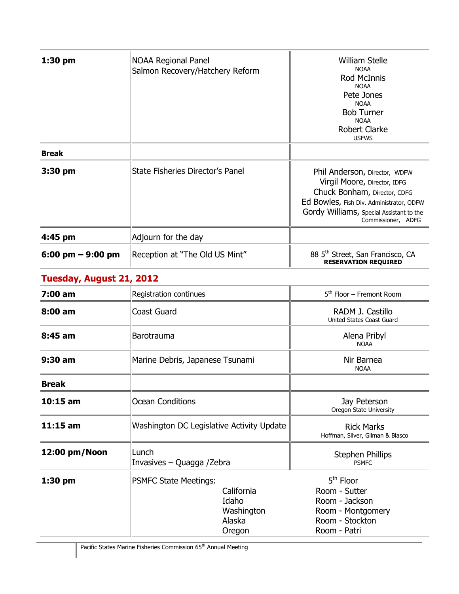| $1:30$ pm           | NOAA Regional Panel<br>Salmon Recovery/Hatchery Reform | <b>William Stelle</b><br><b>NOAA</b><br><b>Rod McInnis</b><br><b>NOAA</b><br>Pete Jones<br><b>NOAA</b><br><b>Bob Turner</b><br><b>NOAA</b><br><b>Robert Clarke</b><br><b>USFWS</b>                          |
|---------------------|--------------------------------------------------------|-------------------------------------------------------------------------------------------------------------------------------------------------------------------------------------------------------------|
| <b>Break</b>        |                                                        |                                                                                                                                                                                                             |
| 3:30 pm             | State Fisheries Director's Panel                       | Phil Anderson, Director, WDFW<br>Virgil Moore, Director, IDFG<br>Chuck Bonham, Director, CDFG<br>Ed Bowles, Fish Div. Administrator, ODFW<br>Gordy Williams, Special Assistant to the<br>Commissioner, ADFG |
| 4:45 pm             | Adjourn for the day                                    |                                                                                                                                                                                                             |
| 6:00 pm $-$ 9:00 pm | Reception at "The Old US Mint"                         | 88 5 <sup>th</sup> Street, San Francisco, CA<br><b>RESERVATION REQUIRED</b>                                                                                                                                 |

# Tuesday, August 21, 2012

| $7:00$ am         | Registration continues                    |                                                       | $5th$ Floor – Fremont Room                                                                             |
|-------------------|-------------------------------------------|-------------------------------------------------------|--------------------------------------------------------------------------------------------------------|
| $8:00 \text{ am}$ | Coast Guard                               |                                                       | RADM J. Castillo<br><b>United States Coast Guard</b>                                                   |
| $8:45$ am         | Barotrauma                                |                                                       | Alena Pribyl<br><b>NOAA</b>                                                                            |
| $9:30$ am         | Marine Debris, Japanese Tsunami           |                                                       | Nir Barnea<br><b>NOAA</b>                                                                              |
| <b>Break</b>      |                                           |                                                       |                                                                                                        |
| $10:15$ am        | Ocean Conditions                          |                                                       | Jay Peterson<br>Oregon State University                                                                |
| $11:15$ am        | Washington DC Legislative Activity Update |                                                       | <b>Rick Marks</b><br>Hoffman, Silver, Gilman & Blasco                                                  |
| 12:00 pm/Noon     | lLunch<br>Invasives – Quagga /Zebra       |                                                       | <b>Stephen Phillips</b><br><b>PSMFC</b>                                                                |
| 1:30 pm           | <b>PSMFC State Meetings:</b>              | California<br>Idaho<br>Washington<br>Alaska<br>Oregon | $5th$ Floor<br>Room - Sutter<br>Room - Jackson<br>Room - Montgomery<br>Room - Stockton<br>Room - Patri |